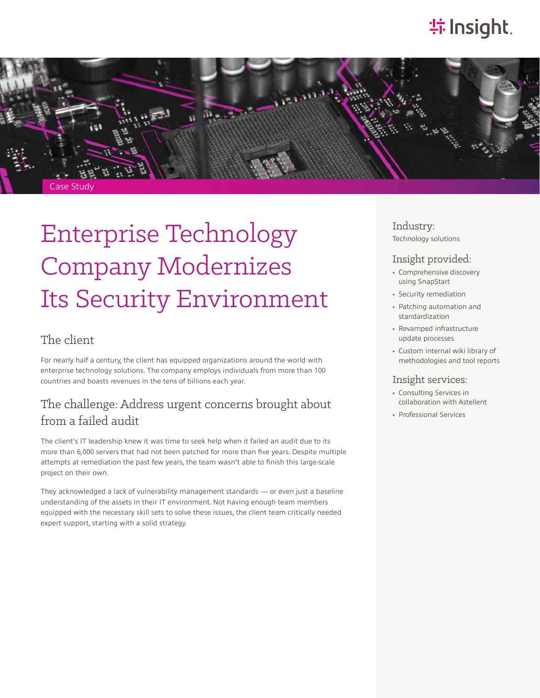# **特Insight**.



# Enterprise Technology Company Modernizes Its Security Environment

#### The client

For nearly half a century, the client has equipped organizations around the world with enterprise technology solutions. The company employs individuals from more than 100 countries and boasts revenues in the tens of billions each year.

#### The challenge: Address urgent concerns brought about from a failed audit

The client's IT leadership knew it was time to seek help when it failed an audit due to its more than 6,000 servers that had not been patched for more than five years. Despite multiple attempts at remediation the past few years, the team wasn't able to finish this large-scale project on their own.

They acknowledged a lack of vulnerability management standards — or even just a baseline understanding of the assets in their IT environment. Not having enough team members equipped with the necessary skill sets to solve these issues, the client team critically needed expert support, starting with a solid strategy.

Industry: Technology solutions

#### Insight provided:

- Comprehensive discovery using SnapStart
- Security remediation
- Patching automation and standardization
- Revamped infrastructure update processes
- Custom internal wiki library of methodologies and tool reports

#### Insight services:

- Consulting Services in collaboration with Astellent
- Professional Services